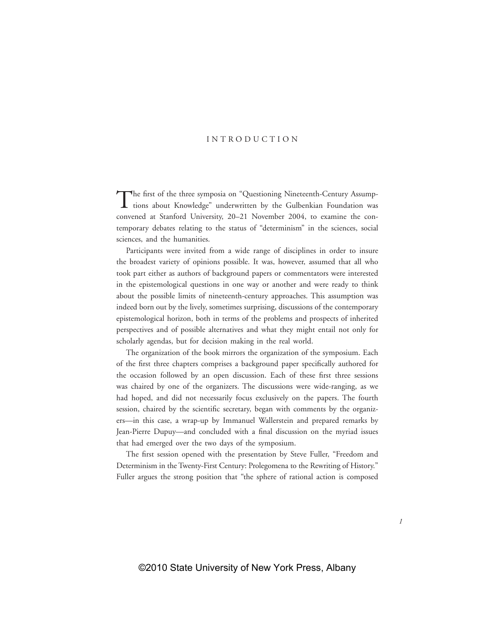## INTRODUCTION

The first of the three symposia on "Questioning Nineteenth-Century Assumptions about Knowledge" underwritten by the Gulbenkian Foundation was convened at Stanford University, 20–21 November 2004, to examine the contemporary debates relating to the status of "determinism" in the sciences, social sciences, and the humanities.

Participants were invited from a wide range of disciplines in order to insure the broadest variety of opinions possible. It was, however, assumed that all who took part either as authors of background papers or commentators were interested in the epistemological questions in one way or another and were ready to think about the possible limits of nineteenth-century approaches. This assumption was indeed born out by the lively, sometimes surprising, discussions of the contemporary epistemological horizon, both in terms of the problems and prospects of inherited perspectives and of possible alternatives and what they might entail not only for scholarly agendas, but for decision making in the real world.

The organization of the book mirrors the organization of the symposium. Each of the first three chapters comprises a background paper specifically authored for the occasion followed by an open discussion. Each of these first three sessions was chaired by one of the organizers. The discussions were wide-ranging, as we had hoped, and did not necessarily focus exclusively on the papers. The fourth session, chaired by the scientific secretary, began with comments by the organizers—in this case, a wrap-up by Immanuel Wallerstein and prepared remarks by Jean-Pierre Dupuy—and concluded with a final discussion on the myriad issues that had emerged over the two days of the symposium.

The first session opened with the presentation by Steve Fuller, "Freedom and Determinism in the Twenty-First Century: Prolegomena to the Rewriting of History." Fuller argues the strong position that "the sphere of rational action is composed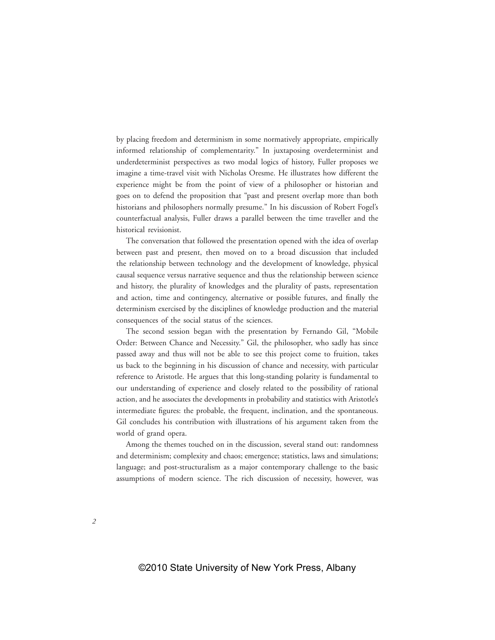by placing freedom and determinism in some normatively appropriate, empirically informed relationship of complementarity." In juxtaposing overdeterminist and underdeterminist perspectives as two modal logics of history, Fuller proposes we imagine a time-travel visit with Nicholas Oresme. He illustrates how different the experience might be from the point of view of a philosopher or historian and goes on to defend the proposition that "past and present overlap more than both historians and philosophers normally presume." In his discussion of Robert Fogel's counterfactual analysis, Fuller draws a parallel between the time traveller and the historical revisionist.

The conversation that followed the presentation opened with the idea of overlap between past and present, then moved on to a broad discussion that included the relationship between technology and the development of knowledge, physical causal sequence versus narrative sequence and thus the relationship between science and history, the plurality of knowledges and the plurality of pasts, representation and action, time and contingency, alternative or possible futures, and finally the determinism exercised by the disciplines of knowledge production and the material consequences of the social status of the sciences.

The second session began with the presentation by Fernando Gil, "Mobile Order: Between Chance and Necessity." Gil, the philosopher, who sadly has since passed away and thus will not be able to see this project come to fruition, takes us back to the beginning in his discussion of chance and necessity, with particular reference to Aristotle. He argues that this long-standing polarity is fundamental to our understanding of experience and closely related to the possibility of rational action, and he associates the developments in probability and statistics with Aristotle's intermediate figures: the probable, the frequent, inclination, and the spontaneous. Gil concludes his contribution with illustrations of his argument taken from the world of grand opera.

Among the themes touched on in the discussion, several stand out: randomness and determinism; complexity and chaos; emergence; statistics, laws and simulations; language; and post-structuralism as a major contemporary challenge to the basic assumptions of modern science. The rich discussion of necessity, however, was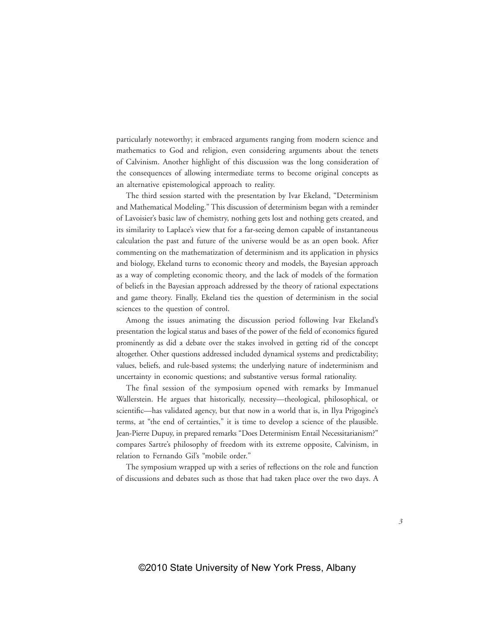particularly noteworthy; it embraced arguments ranging from modern science and mathematics to God and religion, even considering arguments about the tenets of Calvinism. Another highlight of this discussion was the long consideration of the consequences of allowing intermediate terms to become original concepts as an alternative epistemological approach to reality.

The third session started with the presentation by Ivar Ekeland, "Determinism and Mathematical Modeling." This discussion of determinism began with a reminder of Lavoisier's basic law of chemistry, nothing gets lost and nothing gets created, and its similarity to Laplace's view that for a far-seeing demon capable of instantaneous calculation the past and future of the universe would be as an open book. After commenting on the mathematization of determinism and its application in physics and biology, Ekeland turns to economic theory and models, the Bayesian approach as a way of completing economic theory, and the lack of models of the formation of beliefs in the Bayesian approach addressed by the theory of rational expectations and game theory. Finally, Ekeland ties the question of determinism in the social sciences to the question of control.

Among the issues animating the discussion period following Ivar Ekeland's presentation the logical status and bases of the power of the field of economics figured prominently as did a debate over the stakes involved in getting rid of the concept altogether. Other questions addressed included dynamical systems and predictability; values, beliefs, and rule-based systems; the underlying nature of indeterminism and uncertainty in economic questions; and substantive versus formal rationality.

The final session of the symposium opened with remarks by Immanuel Wallerstein. He argues that historically, necessity—theological, philosophical, or scientific—has validated agency, but that now in a world that is, in Ilya Prigogine's terms, at "the end of certainties," it is time to develop a science of the plausible. Jean-Pierre Dupuy, in prepared remarks "Does Determinism Entail Necessitarianism?" compares Sartre's philosophy of freedom with its extreme opposite, Calvinism, in relation to Fernando Gil's "mobile order."

The symposium wrapped up with a series of reflections on the role and function of discussions and debates such as those that had taken place over the two days. A